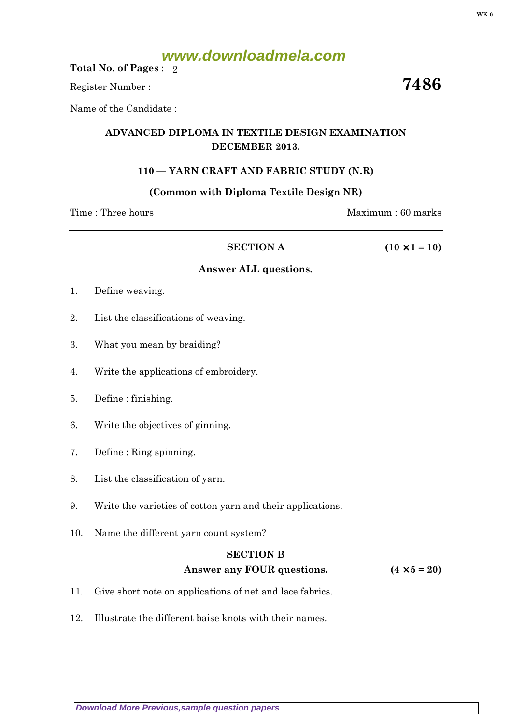# **www.downloadmela.com**

Total No. of Pages :  $\mid 2 \rangle$ 

Register Number :  $\overline{\hspace{1.5cm}7486}$ 

Name of the Candidate :

# ADVANCED DIPLOMA IN TEXTILE DESIGN EXAMINATION DECEMBER 2013.

## 110 — YARN CRAFT AND FABRIC STUDY (N.R)

#### (Common with Diploma Textile Design NR)

Time : Three hours Maximum : 60 marks

#### SECTION A ( $10 \times 1 = 10$ )

#### Answer ALL questions.

- 1. Define weaving.
- 2. List the classifications of weaving.
- 3. What you mean by braiding?
- 4. Write the applications of embroidery.
- 5. Define : finishing.
- 6. Write the objectives of ginning.
- 7. Define : Ring spinning.
- 8. List the classification of yarn.
- 9. Write the varieties of cotton yarn and their applications.
- 10. Name the different yarn count system?

#### SECTION B

## Answer any FOUR questions.  $(4 \times 5 = 20)$

- 11. Give short note on applications of net and lace fabrics.
- 12. Illustrate the different baise knots with their names.